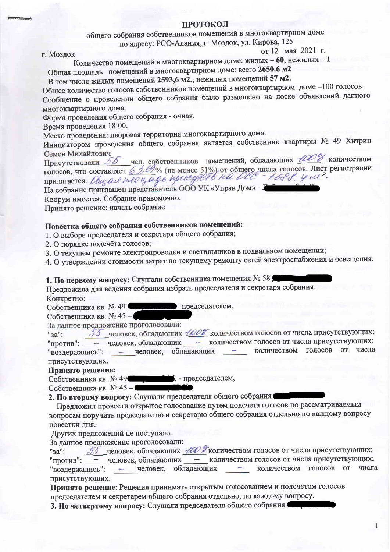## **ПРОТОКОЛ**

общего собрания собственников помещений в многоквартирном доме

по адресу: РСО-Алания, г. Моздок, ул. Кирова, 125

### г. Моздок

от 12 мая 2021 г.

Количество помещений в многоквартирном доме: жилых - 60, нежилых - 1

Общая площадь помещений в многоквартирном доме: всего 2650.6 м2

В том числе жилых помещений 2593,6 м2., нежилых помещений 57 м2.

Общее количество голосов собственников помещений в многоквартирном доме -100 голосов. Сообщение о проведении общего собрания было размещено на доске объявлений данного многоквартирного дома.

Форма проведения общего собрания - очная.

Время проведения 18:00.

Место проведения: дворовая территория многоквартирного дома.

Инициатором проведения общего собрания является собственник квартиры № 49 Хитрин Семен Михайлович

Присутствовали 55 чел. собственников помещений, обладающих 100% количеством<br>голосов, что составляет 63. 69% (не менее 51%) от общего числа голосов. Лист регистрации<br>прилагается. *Úbigad Indougage upcaegnet 6 Ha Clear 1688* 

Кворум имеется. Собрание правомочно.

Принято решение: начать собрание

# Повестка общего собрания собственников помещений:

- 1. О выборе председателя и секретаря общего собрания;
- 2. О порядке подсчёта голосов;
- 3. О текущем ремонте электропроводки и светильников в подвальном помещении;

4. О утверждении стоимости затрат по текущему ремонту сетей электроснабжения и освещения.

1. По первому вопросу: Слушали собственника помещения № 58

Предложила для ведения собрания избрать председателя и секретаря собрания. Конкретно:

- председателем, Собственника кв. № 49

Собственника кв. № 45-

За данное предложение проголосовали:

55 человек, обладающих 100% количеством голосов от числа присутствующих;  $"3a"$ : "против": - человек, обладающих - количеством голосов от числа присутствующих; - человек, обладающих - количеством голосов от числа "воздержались": присутствующих.

# Принято решение:

• председателем, Собственника кв. № 49

Собственника кв. № 45-

2. По второму вопросу: Слушали председателя общего собрания

Предложил провести открытое голосование путем подсчета голосов по рассматриваемым вопросам поручить председателю и секретарю общего собрания отдельно по каждому вопросу повестки дня.

Других предложений не поступало.

За данное предложение проголосовали:

55 человек, обладающих 100 Уколичеством голосов от числа присутствующих;  $"aa"$ : "против": - человек, обладающих - количеством голосов от числа присутствующих; - человек, обладающих - количеством голосов от числа "воздержались": присутствующих.

Принято решение: Решения принимать открытым голосованием и подсчетом голосов председателем и секретарем общего собрания отдельно, по каждому вопросу.

3. По четвертому вопросу: Слушали председателя общего собрания